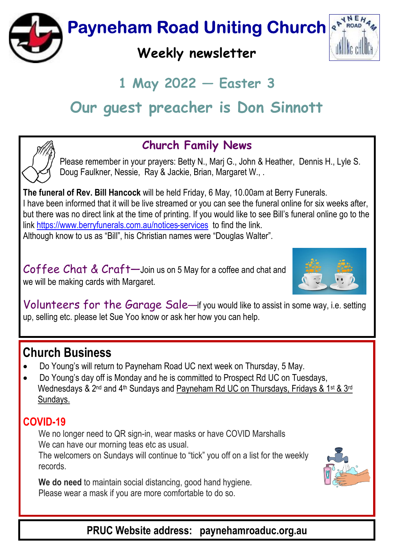

# $1$  May 2022  $-$  Easter 3

# Our quest preacher is Don Sinnott



#### Church Family News

Please remember in your prayers: Betty N., Marj G., John & Heather, Dennis H., Lyle S. Doug Faulkner, Nessie, Ray & Jackie, Brian, Margaret W., .

The funeral of Rev. Bill Hancock will be held Friday, 6 May, 10.00am at Berry Funerals. I have been informed that it will be live streamed or you can see the funeral online for six weeks after, but there was no direct link at the time of printing. If you would like to see Bill's funeral online go to the link https://www.berryfunerals.com.au/notices-services to find the link. Although know to us as "Bill", his Christian names were "Douglas Walter".

Coffee Chat & Craft-Join us on 5 May for a coffee and chat and we will be making cards with Margaret.



Volunteers for the Garage Sale—if you would like to assist in some way, i.e. setting up, selling etc. please let Sue Yoo know or ask her how you can help.

## Church Business

- · Do Young's will return to Payneham Road UC next week on Thursday, 5 May.
- · Do Young's day off is Monday and he is committed to Prospect Rd UC on Tuesdays, Wednesdays & 2<sup>nd</sup> and 4<sup>th</sup> Sundays and Payneham Rd UC on Thursdays, Fridays & 1<sup>st</sup> & 3<sup>rd</sup> Sundays.

#### COVID-19

We no longer need to QR sign-in, wear masks or have COVID Marshalls We can have our morning teas etc as usual.

The welcomers on Sundays will continue to "tick" you off on a list for the weekly records.



We do need to maintain social distancing, good hand hygiene. Please wear a mask if you are more comfortable to do so.

PRUC Website address: paynehamroaduc.org.au